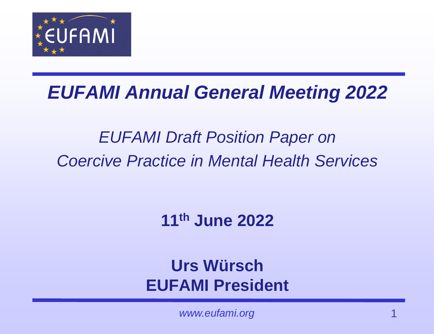

### *EUFAMI Annual General Meeting 2022*

### *EUFAMI Draft Position Paper on Coercive Practice in Mental Health Services*

**11th June 2022**

**Urs Würsch EUFAMI President**

www.eufami.org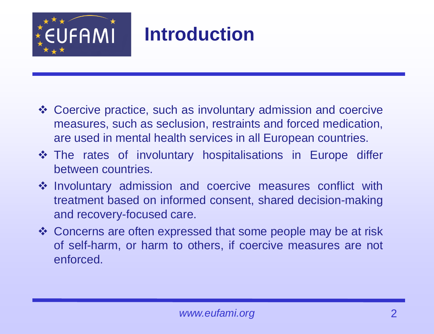

## **Introduction**

- ❖ Coercive practice, such as involuntary admission and coercive measures, such as seclusion, restraints and forced medication, are used in mental health services in all European countries.
- ❖ The rates of involuntary hospitalisations in Europe differ between countries.
- ❖ Involuntary admission and coercive measures conflict with treatment based on informed consent, shared decision-making and recovery-focused care.
- ❖ Concerns are often expressed that some people may be at risk of self-harm, or harm to others, if coercive measures are not enforced.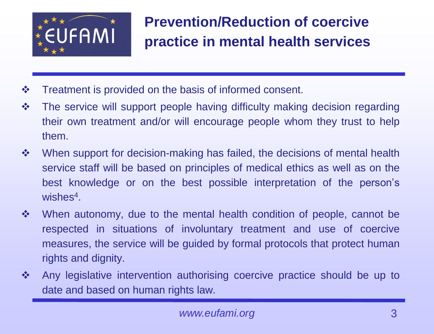

#### **Prevention/Reduction of coercive practice in mental health services**

- ❖ Treatment is provided on the basis of informed consent.
- ❖ The service will support people having difficulty making decision regarding their own treatment and/or will encourage people whom they trust to help them.
- ❖ When support for decision-making has failed, the decisions of mental health service staff will be based on principles of medical ethics as well as on the best knowledge or on the best possible interpretation of the person's wishes<sup>4</sup>.
- ❖ When autonomy, due to the mental health condition of people, cannot be respected in situations of involuntary treatment and use of coercive measures, the service will be guided by formal protocols that protect human rights and dignity.
- ❖ Any legislative intervention authorising coercive practice should be up to date and based on human rights law.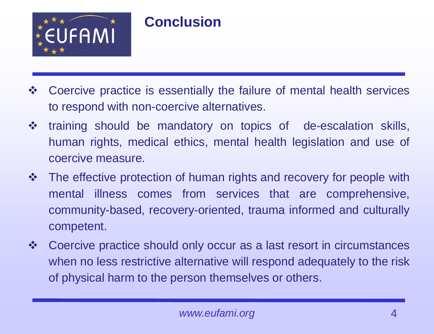

#### **Conclusion**

- ❖ Coercive practice is essentially the failure of mental health services to respond with non-coercive alternatives.
- ❖ training should be mandatory on topics of de-escalation skills, human rights, medical ethics, mental health legislation and use of coercive measure.
- ❖ The effective protection of human rights and recovery for people with mental illness comes from services that are comprehensive, community-based, recovery-oriented, trauma informed and culturally competent.
- ❖ Coercive practice should only occur as a last resort in circumstances when no less restrictive alternative will respond adequately to the risk of physical harm to the person themselves or others.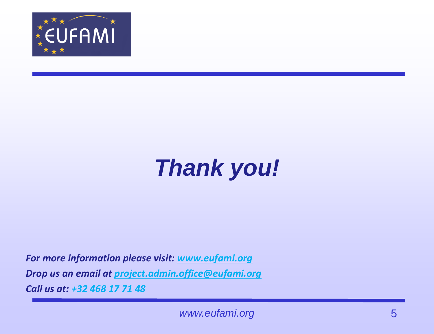

# *Thank you!*

*For more information please visit: [www.eufami.org](http://www.eufami.org/) Drop us an email at [project.admin.office@eufami.org](mailto:project.admin.office@eufami.org) Call us at: +32 468 17 71 48*

*www.eufami.org* 5